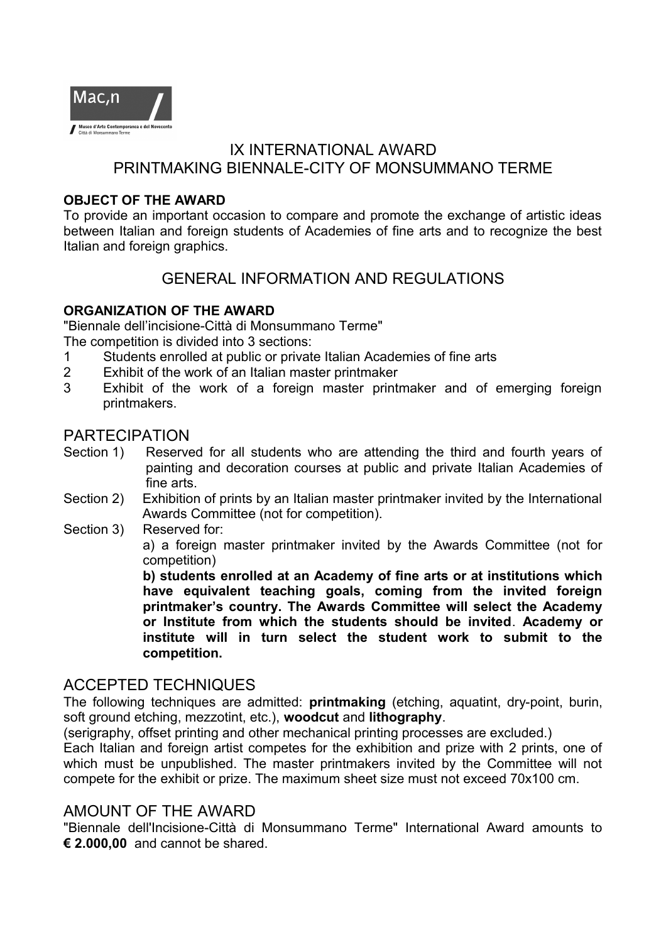

# IX INTERNATIONAL AWARD PRINTMAKING BIENNALE-CITY OF MONSUMMANO TERME

#### **OBJECT OF THE AWARD**

To provide an important occasion to compare and promote the exchange of artistic ideas between Italian and foreign students of Academies of fine arts and to recognize the best Italian and foreign graphics.

# GENERAL INFORMATION AND REGULATIONS

#### **ORGANIZATION OF THE AWARD**

"Biennale dell'incisione-Città di Monsummano Terme"

The competition is divided into 3 sections:

- 1 Students enrolled at public or private Italian Academies of fine arts
- 2 Exhibit of the work of an Italian master printmaker
- 3 Exhibit of the work of a foreign master printmaker and of emerging foreign printmakers.

### PARTECIPATION

- Section 1) Reserved for all students who are attending the third and fourth years of painting and decoration courses at public and private Italian Academies of fine arts.
- Section 2) Exhibition of prints by an Italian master printmaker invited by the International Awards Committee (not for competition).
- Section 3) Reserved for:

a) a foreign master printmaker invited by the Awards Committee (not for competition)

**b) students enrolled at an Academy of fine arts or at institutions which have equivalent teaching goals, coming from the invited foreign printmaker's country. The Awards Committee will select the Academy or Institute from which the students should be invited**. **Academy or institute will in turn select the student work to submit to the competition.**

# ACCEPTED TECHNIQUES

The following techniques are admitted: **printmaking** (etching, aquatint, dry-point, burin, soft ground etching, mezzotint, etc.), **woodcut** and **lithography**.

(serigraphy, offset printing and other mechanical printing processes are excluded.)

Each Italian and foreign artist competes for the exhibition and prize with 2 prints, one of which must be unpublished. The master printmakers invited by the Committee will not compete for the exhibit or prize. The maximum sheet size must not exceed 70x100 cm.

### AMOUNT OF THE AWARD

"Biennale dell'Incisione-Città di Monsummano Terme" International Award amounts to **€ 2.000,00** and cannot be shared.